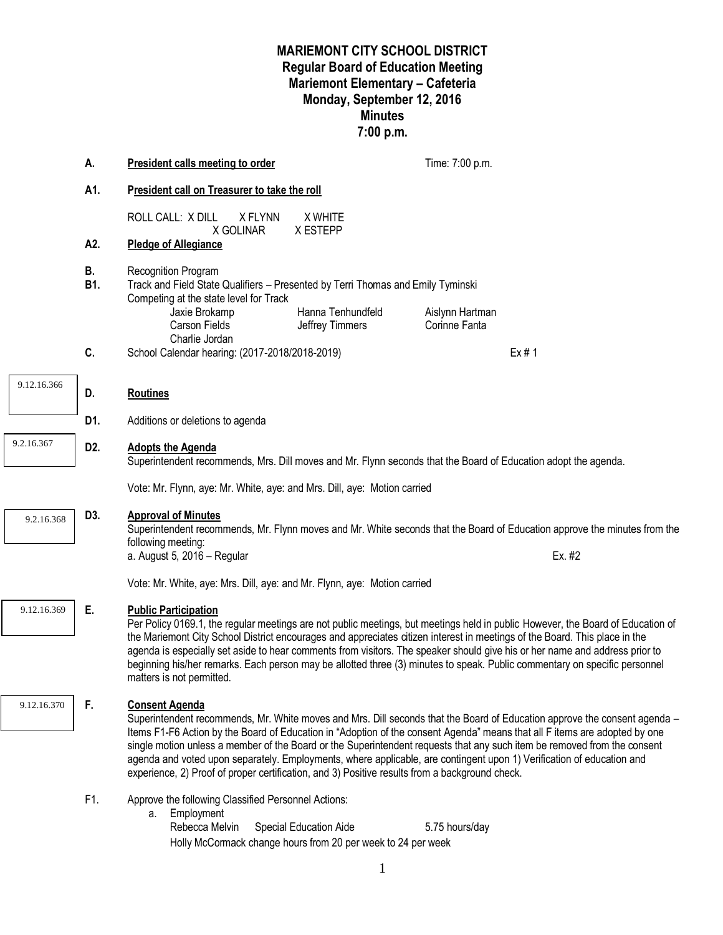## **MARIEMONT CITY SCHOOL DISTRICT Regular Board of Education Meeting Mariemont Elementary – Cafeteria Monday, September 12, 2016 Minutes 7:00 p.m.**

|             | А.               | <b>President calls meeting to order</b>                                                                                                                                                                                                                                                                                                                                                                                                                                                                                                                                                                                                 |                                                                                        | Time: 7:00 p.m.                  |  |  |  |
|-------------|------------------|-----------------------------------------------------------------------------------------------------------------------------------------------------------------------------------------------------------------------------------------------------------------------------------------------------------------------------------------------------------------------------------------------------------------------------------------------------------------------------------------------------------------------------------------------------------------------------------------------------------------------------------------|----------------------------------------------------------------------------------------|----------------------------------|--|--|--|
|             | A1.              | President call on Treasurer to take the roll                                                                                                                                                                                                                                                                                                                                                                                                                                                                                                                                                                                            |                                                                                        |                                  |  |  |  |
|             |                  | ROLL CALL: X DILL<br>X FLYNN<br>X GOLINAR                                                                                                                                                                                                                                                                                                                                                                                                                                                                                                                                                                                               | X WHITE<br>X ESTEPP                                                                    |                                  |  |  |  |
|             | A2.              | <b>Pledge of Allegiance</b>                                                                                                                                                                                                                                                                                                                                                                                                                                                                                                                                                                                                             |                                                                                        |                                  |  |  |  |
|             | В.<br><b>B1.</b> | Recognition Program<br>Track and Field State Qualifiers - Presented by Terri Thomas and Emily Tyminski<br>Competing at the state level for Track                                                                                                                                                                                                                                                                                                                                                                                                                                                                                        |                                                                                        |                                  |  |  |  |
|             |                  | Jaxie Brokamp<br>Carson Fields<br>Charlie Jordan                                                                                                                                                                                                                                                                                                                                                                                                                                                                                                                                                                                        | Hanna Tenhundfeld<br>Jeffrey Timmers                                                   | Aislynn Hartman<br>Corinne Fanta |  |  |  |
|             | C.               | School Calendar hearing: (2017-2018/2018-2019)                                                                                                                                                                                                                                                                                                                                                                                                                                                                                                                                                                                          |                                                                                        | Ex#1                             |  |  |  |
| 9.12.16.366 | D.               | <b>Routines</b>                                                                                                                                                                                                                                                                                                                                                                                                                                                                                                                                                                                                                         |                                                                                        |                                  |  |  |  |
|             | D1.              | Additions or deletions to agenda                                                                                                                                                                                                                                                                                                                                                                                                                                                                                                                                                                                                        |                                                                                        |                                  |  |  |  |
| 9.2.16.367  | D <sub>2</sub> . | <b>Adopts the Agenda</b><br>Superintendent recommends, Mrs. Dill moves and Mr. Flynn seconds that the Board of Education adopt the agenda.                                                                                                                                                                                                                                                                                                                                                                                                                                                                                              |                                                                                        |                                  |  |  |  |
|             |                  | Vote: Mr. Flynn, aye: Mr. White, aye: and Mrs. Dill, aye: Motion carried                                                                                                                                                                                                                                                                                                                                                                                                                                                                                                                                                                |                                                                                        |                                  |  |  |  |
| 9.2.16.368  | D3.              | <b>Approval of Minutes</b><br>Superintendent recommends, Mr. Flynn moves and Mr. White seconds that the Board of Education approve the minutes from the<br>following meeting:<br>a. August 5, 2016 - Regular<br>Ex. #2<br>Vote: Mr. White, aye: Mrs. Dill, aye: and Mr. Flynn, aye: Motion carried                                                                                                                                                                                                                                                                                                                                      |                                                                                        |                                  |  |  |  |
|             |                  |                                                                                                                                                                                                                                                                                                                                                                                                                                                                                                                                                                                                                                         |                                                                                        |                                  |  |  |  |
|             |                  |                                                                                                                                                                                                                                                                                                                                                                                                                                                                                                                                                                                                                                         |                                                                                        |                                  |  |  |  |
| 9.12.16.369 | Ε.               | <b>Public Participation</b><br>Per Policy 0169.1, the regular meetings are not public meetings, but meetings held in public However, the Board of Education of<br>the Mariemont City School District encourages and appreciates citizen interest in meetings of the Board. This place in the<br>agenda is especially set aside to hear comments from visitors. The speaker should give his or her name and address prior to<br>beginning his/her remarks. Each person may be allotted three (3) minutes to speak. Public commentary on specific personnel<br>matters is not permitted.                                                  |                                                                                        |                                  |  |  |  |
| 9.12.16.370 | F.               | <b>Consent Agenda</b><br>Superintendent recommends, Mr. White moves and Mrs. Dill seconds that the Board of Education approve the consent agenda -<br>Items F1-F6 Action by the Board of Education in "Adoption of the consent Agenda" means that all F items are adopted by one<br>single motion unless a member of the Board or the Superintendent requests that any such item be removed from the consent<br>agenda and voted upon separately. Employments, where applicable, are contingent upon 1) Verification of education and<br>experience, 2) Proof of proper certification, and 3) Positive results from a background check. |                                                                                        |                                  |  |  |  |
|             | F1.              | Approve the following Classified Personnel Actions:<br>Employment<br>а.<br>Rebecca Melvin                                                                                                                                                                                                                                                                                                                                                                                                                                                                                                                                               | Special Education Aide<br>Holly McCormack change hours from 20 per week to 24 per week | 5.75 hours/day                   |  |  |  |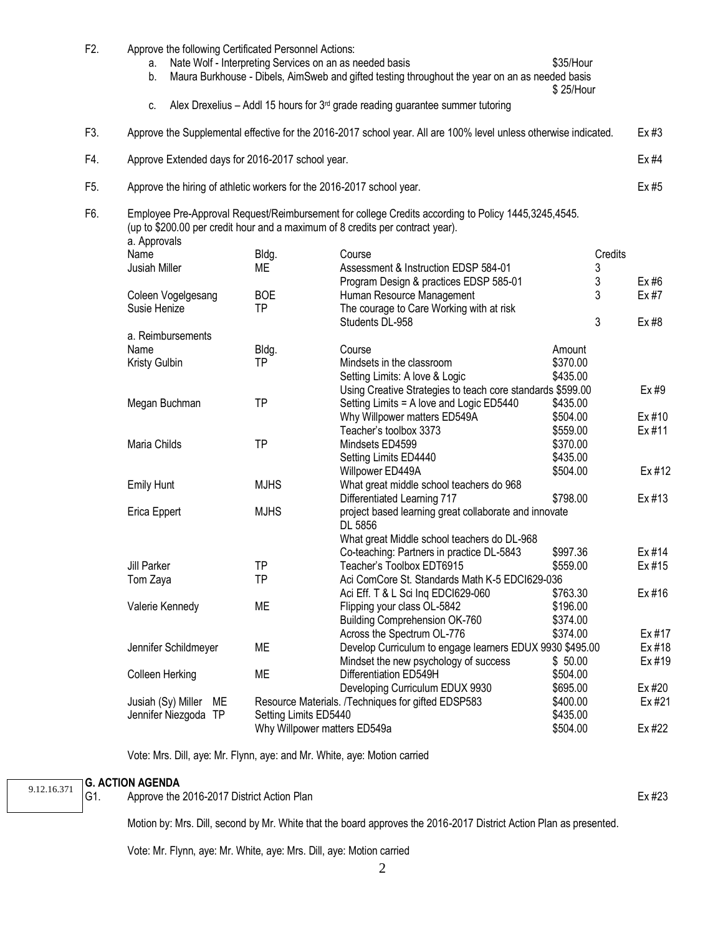| F <sub>2</sub> . | a.<br>b.           |                      |    | Approve the following Certificated Personnel Actions:                                                                       | Nate Wolf - Interpreting Services on an as needed basis<br>Maura Burkhouse - Dibels, AimSweb and gifted testing throughout the year on an as needed basis                             | \$35/Hour<br>\$25/Hour |        |  |  |
|------------------|--------------------|----------------------|----|-----------------------------------------------------------------------------------------------------------------------------|---------------------------------------------------------------------------------------------------------------------------------------------------------------------------------------|------------------------|--------|--|--|
|                  | C.                 |                      |    |                                                                                                                             | Alex Drexelius - Addl 15 hours for $3rd$ grade reading guarantee summer tutoring                                                                                                      |                        |        |  |  |
| F3.              |                    |                      |    | Approve the Supplemental effective for the 2016-2017 school year. All are 100% level unless otherwise indicated.<br>$Ex$ #3 |                                                                                                                                                                                       |                        |        |  |  |
| F4.              |                    |                      |    | Approve Extended days for 2016-2017 school year.<br>Ex #4                                                                   |                                                                                                                                                                                       |                        |        |  |  |
| F5.              |                    |                      |    |                                                                                                                             | Approve the hiring of athletic workers for the 2016-2017 school year.                                                                                                                 |                        | Ex #5  |  |  |
| F6.              | a. Approvals       |                      |    |                                                                                                                             | Employee Pre-Approval Request/Reimbursement for college Credits according to Policy 1445,3245,4545.<br>(up to \$200.00 per credit hour and a maximum of 8 credits per contract year). |                        |        |  |  |
|                  | Name               |                      |    | Bldg.                                                                                                                       | Course                                                                                                                                                                                | Credits                |        |  |  |
|                  | Jusiah Miller      |                      |    | ME                                                                                                                          | Assessment & Instruction EDSP 584-01                                                                                                                                                  | 3                      |        |  |  |
|                  |                    |                      |    |                                                                                                                             | Program Design & practices EDSP 585-01                                                                                                                                                | 3                      | Ex#6   |  |  |
|                  |                    | Coleen Vogelgesang   |    | <b>BOE</b>                                                                                                                  | Human Resource Management                                                                                                                                                             | 3                      | Ex #7  |  |  |
|                  | Susie Henize       |                      |    | <b>TP</b>                                                                                                                   | The courage to Care Working with at risk                                                                                                                                              |                        |        |  |  |
|                  |                    |                      |    |                                                                                                                             | Students DL-958                                                                                                                                                                       | 3                      | Ex #8  |  |  |
|                  |                    | a. Reimbursements    |    |                                                                                                                             |                                                                                                                                                                                       |                        |        |  |  |
|                  | Name               |                      |    | Bldg.                                                                                                                       | Course                                                                                                                                                                                | Amount                 |        |  |  |
|                  | Kristy Gulbin      |                      |    | TP                                                                                                                          | Mindsets in the classroom                                                                                                                                                             | \$370.00               |        |  |  |
|                  |                    |                      |    |                                                                                                                             | Setting Limits: A love & Logic                                                                                                                                                        | \$435.00               |        |  |  |
|                  |                    |                      |    |                                                                                                                             | Using Creative Strategies to teach core standards \$599.00                                                                                                                            |                        | Ex#9   |  |  |
|                  |                    | Megan Buchman        |    | <b>TP</b>                                                                                                                   | Setting Limits = A love and Logic ED5440                                                                                                                                              | \$435.00               |        |  |  |
|                  |                    |                      |    |                                                                                                                             | Why Willpower matters ED549A                                                                                                                                                          | \$504.00               | Ex #10 |  |  |
|                  |                    |                      |    |                                                                                                                             | Teacher's toolbox 3373                                                                                                                                                                | \$559.00               | Ex #11 |  |  |
|                  | Maria Childs       |                      |    | <b>TP</b>                                                                                                                   | Mindsets ED4599                                                                                                                                                                       | \$370.00               |        |  |  |
|                  |                    |                      |    |                                                                                                                             | Setting Limits ED4440                                                                                                                                                                 | \$435.00               |        |  |  |
|                  |                    |                      |    |                                                                                                                             | Willpower ED449A                                                                                                                                                                      | \$504.00               | Ex #12 |  |  |
|                  | <b>Emily Hunt</b>  |                      |    | <b>MJHS</b>                                                                                                                 | What great middle school teachers do 968                                                                                                                                              |                        |        |  |  |
|                  |                    |                      |    |                                                                                                                             | Differentiated Learning 717                                                                                                                                                           | \$798.00               | Ex #13 |  |  |
|                  |                    | Erica Eppert         |    | <b>MJHS</b>                                                                                                                 | project based learning great collaborate and innovate                                                                                                                                 |                        |        |  |  |
|                  |                    |                      |    |                                                                                                                             | DL 5856                                                                                                                                                                               |                        |        |  |  |
|                  |                    |                      |    |                                                                                                                             | What great Middle school teachers do DL-968                                                                                                                                           |                        |        |  |  |
|                  |                    |                      |    |                                                                                                                             | Co-teaching: Partners in practice DL-5843                                                                                                                                             | \$997.36               | Ex #14 |  |  |
|                  | <b>Jill Parker</b> |                      |    | <b>TP</b>                                                                                                                   | Teacher's Toolbox EDT6915                                                                                                                                                             | \$559.00               | Ex #15 |  |  |
|                  |                    | Tom Zaya             |    | <b>TP</b>                                                                                                                   | Aci ComCore St. Standards Math K-5 EDCI629-036                                                                                                                                        |                        |        |  |  |
|                  |                    |                      |    |                                                                                                                             | Aci Eff. T & L Sci Ing EDCI629-060                                                                                                                                                    | \$763.30               | Ex #16 |  |  |
|                  |                    | Valerie Kennedy      |    | ME                                                                                                                          | Flipping your class OL-5842                                                                                                                                                           | \$196.00               |        |  |  |
|                  |                    |                      |    |                                                                                                                             | Building Comprehension OK-760                                                                                                                                                         | \$374.00               |        |  |  |
|                  |                    |                      |    |                                                                                                                             | Across the Spectrum OL-776                                                                                                                                                            | \$374.00               | Ex #17 |  |  |
|                  |                    | Jennifer Schildmeyer |    | ME                                                                                                                          | Develop Curriculum to engage learners EDUX 9930 \$495.00                                                                                                                              |                        | Ex #18 |  |  |
|                  |                    |                      |    |                                                                                                                             | Mindset the new psychology of success                                                                                                                                                 | \$50.00                | Ex #19 |  |  |
|                  | Colleen Herking    |                      |    | ME                                                                                                                          | Differentiation ED549H                                                                                                                                                                | \$504.00               |        |  |  |
|                  |                    |                      |    |                                                                                                                             | Developing Curriculum EDUX 9930                                                                                                                                                       | \$695.00               | Ex #20 |  |  |
|                  |                    | Jusiah (Sy) Miller   | ME |                                                                                                                             | Resource Materials. /Techniques for gifted EDSP583                                                                                                                                    | \$400.00               | Ex #21 |  |  |
|                  |                    | Jennifer Niezgoda TP |    | Setting Limits ED5440                                                                                                       |                                                                                                                                                                                       | \$435.00               |        |  |  |
|                  |                    |                      |    |                                                                                                                             | Why Willpower matters ED549a                                                                                                                                                          | \$504.00               | Ex #22 |  |  |
|                  |                    |                      |    |                                                                                                                             |                                                                                                                                                                                       |                        |        |  |  |

Vote: Mrs. Dill, aye: Mr. Flynn, aye: and Mr. White, aye: Motion carried

## **G. ACTION AGENDA**<br>**G1.** Approve the

9.12.16.371

Approve the 2016-2017 District Action Plan External extension of the US and External External External External

Motion by: Mrs. Dill, second by Mr. White that the board approves the 2016-2017 District Action Plan as presented.

Vote: Mr. Flynn, aye: Mr. White, aye: Mrs. Dill, aye: Motion carried